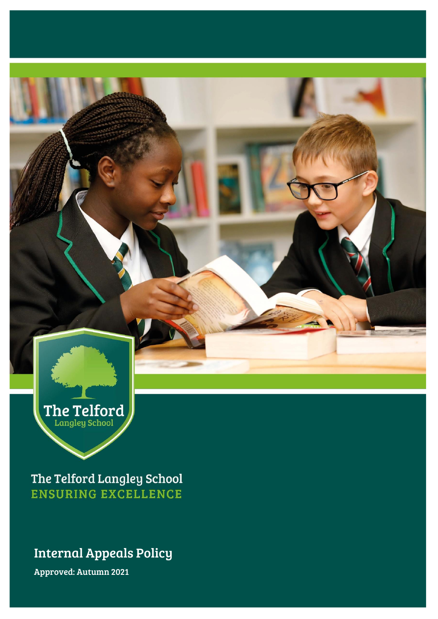

The Telford Langley School **ENSURING EXCELLENCE** 

## Internal Appeals Policy

Approved: Autumn 2021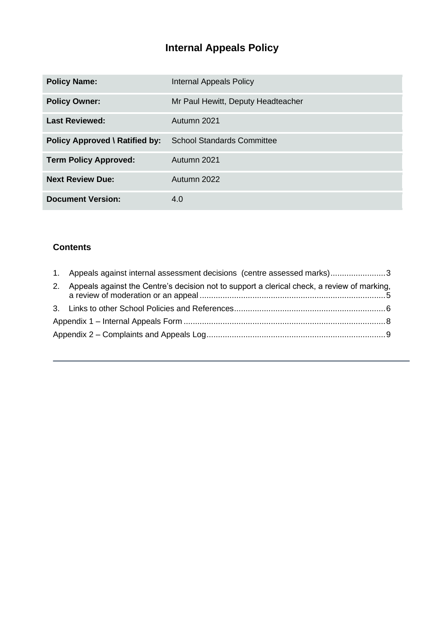# **Internal Appeals Policy**

| <b>Policy Name:</b>                   | Internal Appeals Policy            |
|---------------------------------------|------------------------------------|
| <b>Policy Owner:</b>                  | Mr Paul Hewitt, Deputy Headteacher |
| <b>Last Reviewed:</b>                 | Autumn 2021                        |
| <b>Policy Approved \ Ratified by:</b> | <b>School Standards Committee</b>  |
| <b>Term Policy Approved:</b>          | Autumn 2021                        |
| <b>Next Review Due:</b>               | Autumn 2022                        |
| <b>Document Version:</b>              | 4.0                                |

### **Contents**

|    | 1. Appeals against internal assessment decisions (centre assessed marks)3                   |  |
|----|---------------------------------------------------------------------------------------------|--|
| 2. | Appeals against the Centre's decision not to support a clerical check, a review of marking, |  |
|    |                                                                                             |  |
|    |                                                                                             |  |
|    |                                                                                             |  |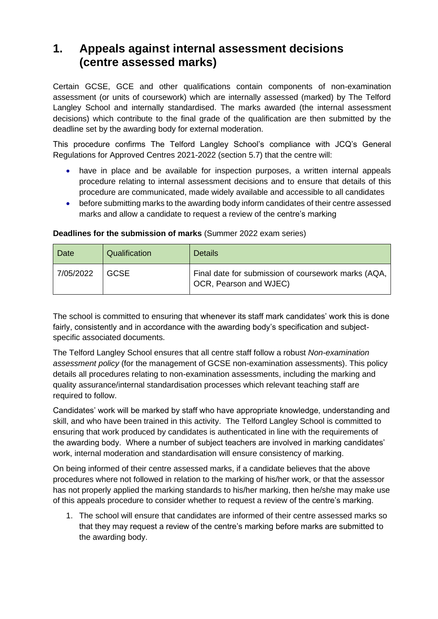### <span id="page-2-0"></span>**1. Appeals against internal assessment decisions (centre assessed marks)**

Certain GCSE, GCE and other qualifications contain components of non-examination assessment (or units of coursework) which are internally assessed (marked) by The Telford Langley School and internally standardised. The marks awarded (the internal assessment decisions) which contribute to the final grade of the qualification are then submitted by the deadline set by the awarding body for external moderation.

This procedure confirms The Telford Langley School's compliance with JCQ's General Regulations for Approved Centres 2021-2022 (section 5.7) that the centre will:

- have in place and be available for inspection purposes, a written internal appeals procedure relating to internal assessment decisions and to ensure that details of this procedure are communicated, made widely available and accessible to all candidates
- before submitting marks to the awarding body inform candidates of their centre assessed marks and allow a candidate to request a review of the centre's marking

| Date      | Qualification | <b>Details</b>                                                                |
|-----------|---------------|-------------------------------------------------------------------------------|
| 7/05/2022 | <b>GCSE</b>   | Final date for submission of coursework marks (AQA,<br>OCR, Pearson and WJEC) |

#### **Deadlines for the submission of marks** (Summer 2022 exam series)

The school is committed to ensuring that whenever its staff mark candidates' work this is done fairly, consistently and in accordance with the awarding body's specification and subjectspecific associated documents.

The Telford Langley School ensures that all centre staff follow a robust *Non-examination assessment policy* (for the management of GCSE non-examination assessments). This policy details all procedures relating to non-examination assessments, including the marking and quality assurance/internal standardisation processes which relevant teaching staff are required to follow.

Candidates' work will be marked by staff who have appropriate knowledge, understanding and skill, and who have been trained in this activity. The Telford Langley School is committed to ensuring that work produced by candidates is authenticated in line with the requirements of the awarding body. Where a number of subject teachers are involved in marking candidates' work, internal moderation and standardisation will ensure consistency of marking.

On being informed of their centre assessed marks, if a candidate believes that the above procedures where not followed in relation to the marking of his/her work, or that the assessor has not properly applied the marking standards to his/her marking, then he/she may make use of this appeals procedure to consider whether to request a review of the centre's marking.

1. The school will ensure that candidates are informed of their centre assessed marks so that they may request a review of the centre's marking before marks are submitted to the awarding body.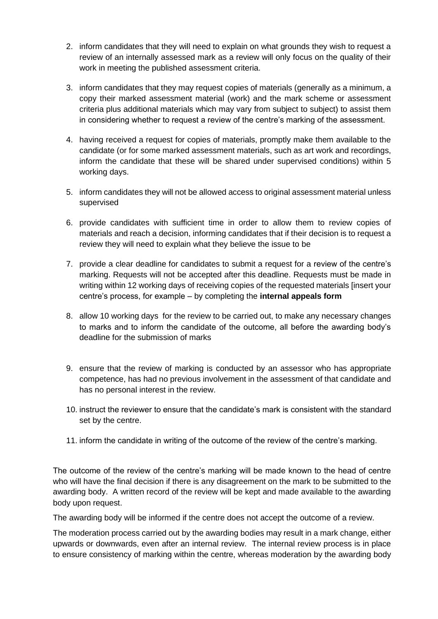- 2. inform candidates that they will need to explain on what grounds they wish to request a review of an internally assessed mark as a review will only focus on the quality of their work in meeting the published assessment criteria.
- 3. inform candidates that they may request copies of materials (generally as a minimum, a copy their marked assessment material (work) and the mark scheme or assessment criteria plus additional materials which may vary from subject to subject) to assist them in considering whether to request a review of the centre's marking of the assessment.
- 4. having received a request for copies of materials, promptly make them available to the candidate (or for some marked assessment materials, such as art work and recordings, inform the candidate that these will be shared under supervised conditions) within 5 working days.
- 5. inform candidates they will not be allowed access to original assessment material unless supervised
- 6. provide candidates with sufficient time in order to allow them to review copies of materials and reach a decision, informing candidates that if their decision is to request a review they will need to explain what they believe the issue to be
- 7. provide a clear deadline for candidates to submit a request for a review of the centre's marking. Requests will not be accepted after this deadline. Requests must be made in writing within 12 working days of receiving copies of the requested materials [insert your centre's process, for example – by completing the **internal appeals form**
- 8. allow 10 working days for the review to be carried out, to make any necessary changes to marks and to inform the candidate of the outcome, all before the awarding body's deadline for the submission of marks
- 9. ensure that the review of marking is conducted by an assessor who has appropriate competence, has had no previous involvement in the assessment of that candidate and has no personal interest in the review.
- 10. instruct the reviewer to ensure that the candidate's mark is consistent with the standard set by the centre.
- 11. inform the candidate in writing of the outcome of the review of the centre's marking.

The outcome of the review of the centre's marking will be made known to the head of centre who will have the final decision if there is any disagreement on the mark to be submitted to the awarding body. A written record of the review will be kept and made available to the awarding body upon request.

The awarding body will be informed if the centre does not accept the outcome of a review.

The moderation process carried out by the awarding bodies may result in a mark change, either upwards or downwards, even after an internal review. The internal review process is in place to ensure consistency of marking within the centre, whereas moderation by the awarding body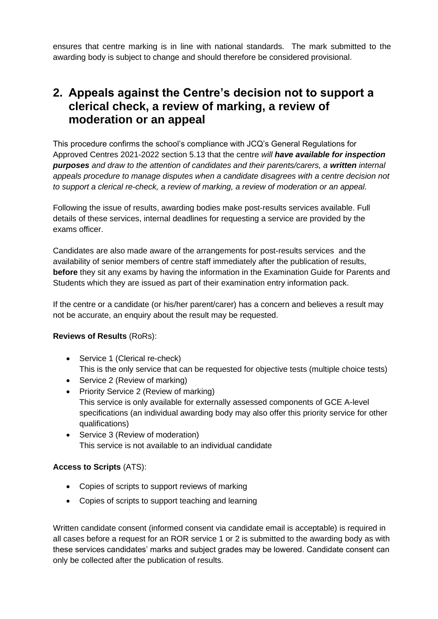ensures that centre marking is in line with national standards. The mark submitted to the awarding body is subject to change and should therefore be considered provisional.

### <span id="page-4-0"></span>**2. Appeals against the Centre's decision not to support a clerical check, a review of marking, a review of moderation or an appeal**

This procedure confirms the school's compliance with JCQ's General Regulations for Approved Centres 2021-2022 section 5.13 that the centre *will have available for inspection purposes and draw to the attention of candidates and their parents/carers, a written internal appeals procedure to manage disputes when a candidate disagrees with a centre decision not to support a clerical re-check, a review of marking, a review of moderation or an appeal.*

Following the issue of results, awarding bodies make post-results services available. Full details of these services, internal deadlines for requesting a service are provided by the exams officer.

Candidates are also made aware of the arrangements for post-results services and the availability of senior members of centre staff immediately after the publication of results, **before** they sit any exams by having the information in the Examination Guide for Parents and Students which they are issued as part of their examination entry information pack.

If the centre or a candidate (or his/her parent/carer) has a concern and believes a result may not be accurate, an enquiry about the result may be requested.

#### **Reviews of Results** (RoRs):

- Service 1 (Clerical re-check) This is the only service that can be requested for objective tests (multiple choice tests)
- Service 2 (Review of marking)
- Priority Service 2 (Review of marking) This service is only available for externally assessed components of GCE A-level specifications (an individual awarding body may also offer this priority service for other qualifications)
- Service 3 (Review of moderation) This service is not available to an individual candidate

#### **Access to Scripts** (ATS):

- Copies of scripts to support reviews of marking
- Copies of scripts to support teaching and learning

Written candidate consent (informed consent via candidate email is acceptable) is required in all cases before a request for an ROR service 1 or 2 is submitted to the awarding body as with these services candidates' marks and subject grades may be lowered. Candidate consent can only be collected after the publication of results.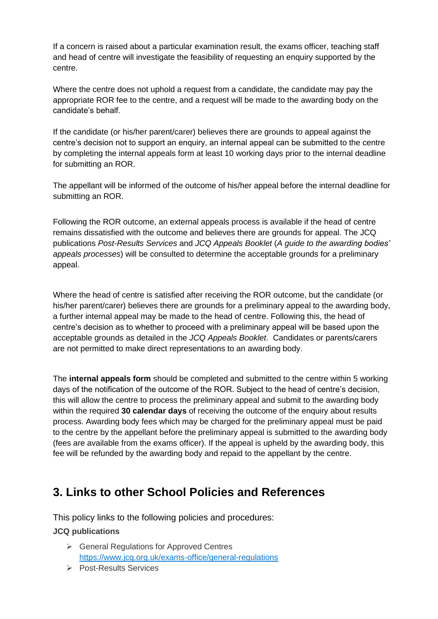If a concern is raised about a particular examination result, the exams officer, teaching staff and head of centre will investigate the feasibility of requesting an enquiry supported by the centre.

Where the centre does not uphold a request from a candidate, the candidate may pay the appropriate ROR fee to the centre, and a request will be made to the awarding body on the candidate's behalf.

If the candidate (or his/her parent/carer) believes there are grounds to appeal against the centre's decision not to support an enquiry, an internal appeal can be submitted to the centre by completing the internal appeals form at least 10 working days prior to the internal deadline for submitting an ROR.

The appellant will be informed of the outcome of his/her appeal before the internal deadline for submitting an ROR.

Following the ROR outcome, an external appeals process is available if the head of centre remains dissatisfied with the outcome and believes there are grounds for appeal. The JCQ publications *Post-Results Services* and *JCQ Appeals Booklet* (*A guide to the awarding bodies' appeals processes*) will be consulted to determine the acceptable grounds for a preliminary appeal.

Where the head of centre is satisfied after receiving the ROR outcome, but the candidate (or his/her parent/carer) believes there are grounds for a preliminary appeal to the awarding body, a further internal appeal may be made to the head of centre. Following this, the head of centre's decision as to whether to proceed with a preliminary appeal will be based upon the acceptable grounds as detailed in the *JCQ Appeals Booklet*. Candidates or parents/carers are not permitted to make direct representations to an awarding body.

The **internal appeals form** should be completed and submitted to the centre within 5 working days of the notification of the outcome of the ROR. Subject to the head of centre's decision, this will allow the centre to process the preliminary appeal and submit to the awarding body within the required **30 calendar days** of receiving the outcome of the enquiry about results process. Awarding body fees which may be charged for the preliminary appeal must be paid to the centre by the appellant before the preliminary appeal is submitted to the awarding body (fees are available from the exams officer). If the appeal is upheld by the awarding body, this fee will be refunded by the awarding body and repaid to the appellant by the centre.

### <span id="page-5-0"></span>**3. Links to other School Policies and References**

This policy links to the following policies and procedures: **JCQ publications**

- ➢ General Regulations for Approved Centres <https://www.jcq.org.uk/exams-office/general-regulations>
- ➢ Post-Results Services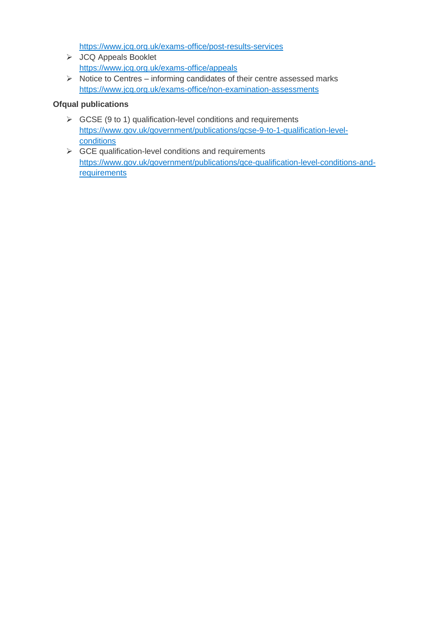<https://www.jcq.org.uk/exams-office/post-results-services>

- ➢ JCQ Appeals Booklet <https://www.jcq.org.uk/exams-office/appeals>
- ➢ Notice to Centres informing candidates of their centre assessed marks <https://www.jcq.org.uk/exams-office/non-examination-assessments>

#### **Ofqual publications**

- $\triangleright$  GCSE (9 to 1) qualification-level conditions and requirements [https://www.gov.uk/government/publications/gcse-9-to-1-qualification-level](https://www.gov.uk/government/publications/gcse-9-to-1-qualification-level-conditions)[conditions](https://www.gov.uk/government/publications/gcse-9-to-1-qualification-level-conditions)
- $\triangleright$  GCE qualification-level conditions and requirements [https://www.gov.uk/government/publications/gce-qualification-level-conditions-and](https://www.gov.uk/government/publications/gce-qualification-level-conditions-and-requirements)[requirements](https://www.gov.uk/government/publications/gce-qualification-level-conditions-and-requirements)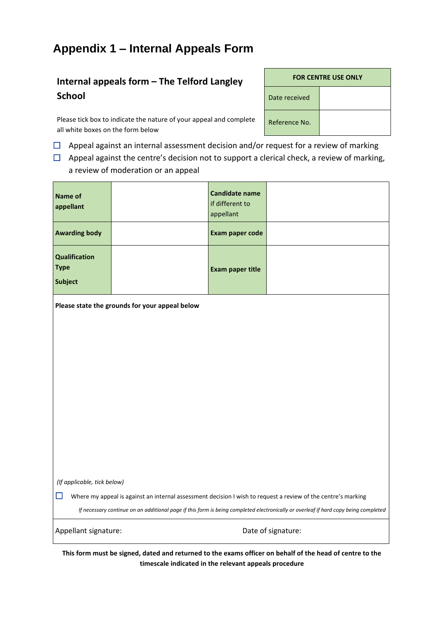### <span id="page-7-0"></span>**Appendix 1 – Internal Appeals Form**

### **Internal appeals form – The Telford Langley School**

Please tick box to indicate the nature of your appeal and complete all white boxes on the form below

 $\Box$  Appeal against an internal assessment decision and/or request for a review of marking

 $\Box$  Appeal against the centre's decision not to support a clerical check, a review of marking, a review of moderation or an appeal

| <b>Name of</b><br>appellant                                                                                                         |                                                | <b>Candidate name</b><br>if different to<br>appellant |  |
|-------------------------------------------------------------------------------------------------------------------------------------|------------------------------------------------|-------------------------------------------------------|--|
| <b>Awarding body</b>                                                                                                                |                                                | Exam paper code                                       |  |
| Qualification<br><b>Type</b><br><b>Subject</b>                                                                                      |                                                | <b>Exam paper title</b>                               |  |
|                                                                                                                                     | Please state the grounds for your appeal below |                                                       |  |
|                                                                                                                                     |                                                |                                                       |  |
|                                                                                                                                     |                                                |                                                       |  |
|                                                                                                                                     |                                                |                                                       |  |
|                                                                                                                                     |                                                |                                                       |  |
|                                                                                                                                     |                                                |                                                       |  |
|                                                                                                                                     |                                                |                                                       |  |
|                                                                                                                                     |                                                |                                                       |  |
| (If applicable, tick below)                                                                                                         |                                                |                                                       |  |
| ⊔<br>Where my appeal is against an internal assessment decision I wish to request a review of the centre's marking                  |                                                |                                                       |  |
| If necessary continue on an additional page if this form is being completed electronically or overleaf if hard copy being completed |                                                |                                                       |  |
| Date of signature:<br>Appellant signature:                                                                                          |                                                |                                                       |  |

**This form must be signed, dated and returned to the exams officer on behalf of the head of centre to the timescale indicated in the relevant appeals procedure**

| <b>FOR CENTRE USE ONLY</b> |
|----------------------------|
|                            |

Reference No.

Date received